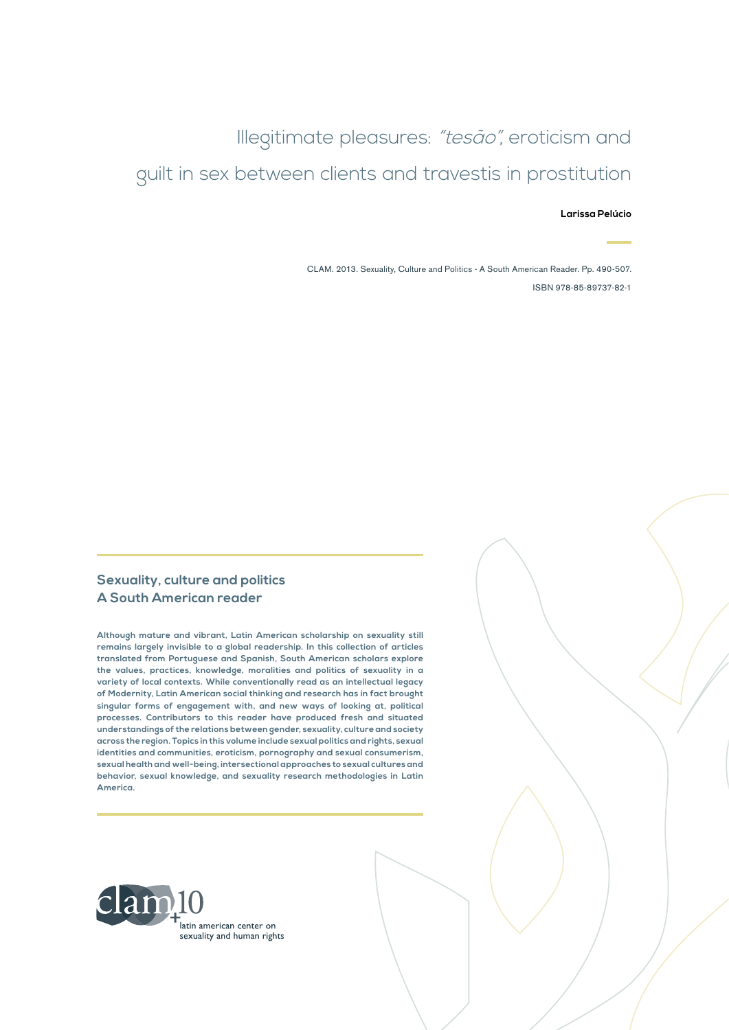Illegitimate pleasures: "tesão", eroticism and guilt in sex between clients and travestis in prostitution

**Larissa Pelúcio**

CLAM. 2013. Sexuality, Culture and Politics - A South American Reader. Pp. 490-507. ISBN 978-85-89737-82-1

#### **Sexuality, culture and politics A South American reader**

**Although mature and vibrant, Latin American scholarship on sexuality still remains largely invisible to a global readership. In this collection of articles translated from Portuguese and Spanish, South American scholars explore the values, practices, knowledge, moralities and politics of sexuality in a variety of local contexts. While conventionally read as an intellectual legacy of Modernity, Latin American social thinking and research has in fact brought singular forms of engagement with, and new ways of looking at, political processes. Contributors to this reader have produced fresh and situated understandings of the relations between gender, sexuality, culture and society across the region. Topics in this volume include sexual politics and rights, sexual identities and communities, eroticism, pornography and sexual consumerism, sexual health and well-being, intersectional approaches to sexual cultures and behavior, sexual knowledge, and sexuality research methodologies in Latin America.**

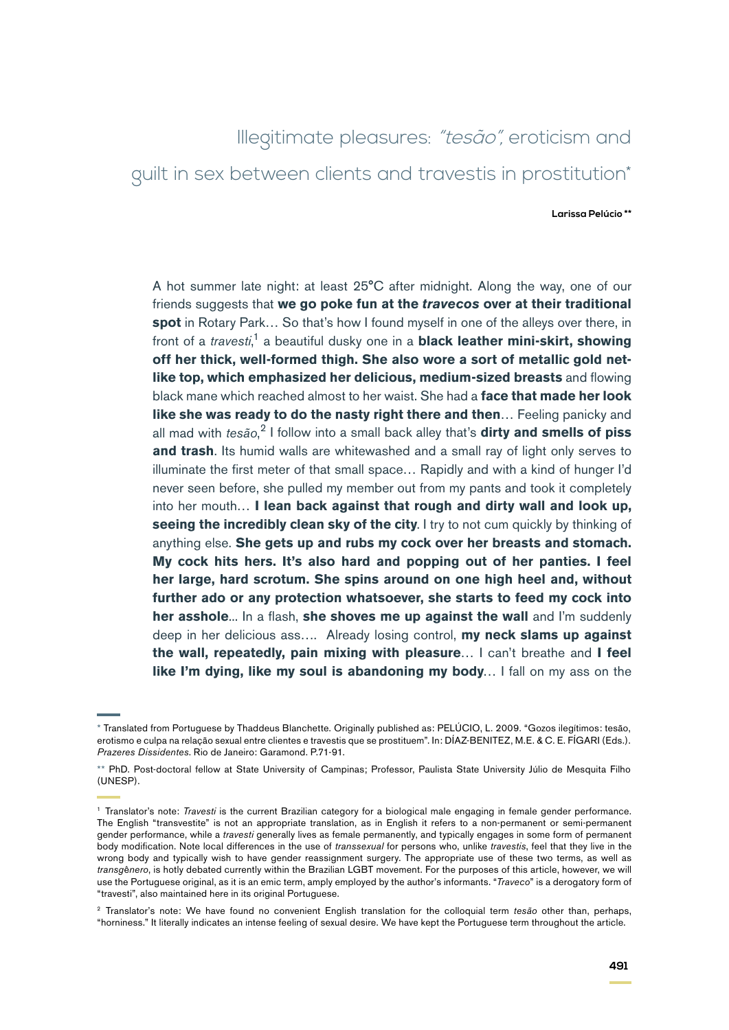# Illegitimate pleasures: "tesão", eroticism and guilt in sex between clients and travestis in prostitution\*

**Larissa Pelúcio \*\***

A hot summer late night: at least 25°C after midnight. Along the way, one of our friends suggests that **we go poke fun at the** *travecos* **over at their traditional spot** in Rotary Park… So that's how I found myself in one of the alleys over there, in front of a *travesti*, 1 a beautiful dusky one in a **black leather mini-skirt, showing off her thick, well-formed thigh. She also wore a sort of metallic gold netlike top, which emphasized her delicious, medium-sized breasts** and flowing black mane which reached almost to her waist. She had a **face that made her look like she was ready to do the nasty right there and then**… Feeling panicky and all mad with *tesão*, 2 I follow into a small back alley that's **dirty and smells of piss and trash**. Its humid walls are whitewashed and a small ray of light only serves to illuminate the first meter of that small space… Rapidly and with a kind of hunger I'd never seen before, she pulled my member out from my pants and took it completely into her mouth… **I lean back against that rough and dirty wall and look up, seeing the incredibly clean sky of the city**. I try to not cum quickly by thinking of anything else. **She gets up and rubs my cock over her breasts and stomach. My cock hits hers. It's also hard and popping out of her panties. I feel her large, hard scrotum. She spins around on one high heel and, without further ado or any protection whatsoever, she starts to feed my cock into her asshole**... In a flash, **she shoves me up against the wall** and I'm suddenly deep in her delicious ass…. Already losing control, **my neck slams up against the wall, repeatedly, pain mixing with pleasure**… I can't breathe and **I feel like I'm dying, like my soul is abandoning my body**… I fall on my ass on the

<sup>\*</sup> Translated from Portuguese by Thaddeus Blanchette. Originally published as: PELÚCIO, L. 2009. "Gozos ilegítimos: tesão, erotismo e culpa na relação sexual entre clientes e travestis que se prostituem". In: DÍAZ-BENITEZ, M.E. & C. E. FÍGARI (Eds.). *Prazeres Dissidentes*. Rio de Janeiro: Garamond. P.71-91.

<sup>\*\*</sup> PhD. Post-doctoral fellow at State University of Campinas; Professor, Paulista State University Júlio de Mesquita Filho (UNESP).

<sup>1</sup> Translator's note: *Travesti* is the current Brazilian category for a biological male engaging in female gender performance. The English "transvestite" is not an appropriate translation, as in English it refers to a non-permanent or semi-permanent gender performance, while a *travesti* generally lives as female permanently, and typically engages in some form of permanent body modification. Note local differences in the use of *transsexual* for persons who, unlike *travestis*, feel that they live in the wrong body and typically wish to have gender reassignment surgery. The appropriate use of these two terms, as well as *transg*ê*nero*, is hotly debated currently within the Brazilian LGBT movement. For the purposes of this article, however, we will use the Portuguese original, as it is an emic term, amply employed by the author's informants. "*Traveco*" is a derogatory form of "travesti", also maintained here in its original Portuguese.

<sup>2</sup> Translator's note: We have found no convenient English translation for the colloquial term *tesão* other than, perhaps, "horniness." It literally indicates an intense feeling of sexual desire. We have kept the Portuguese term throughout the article.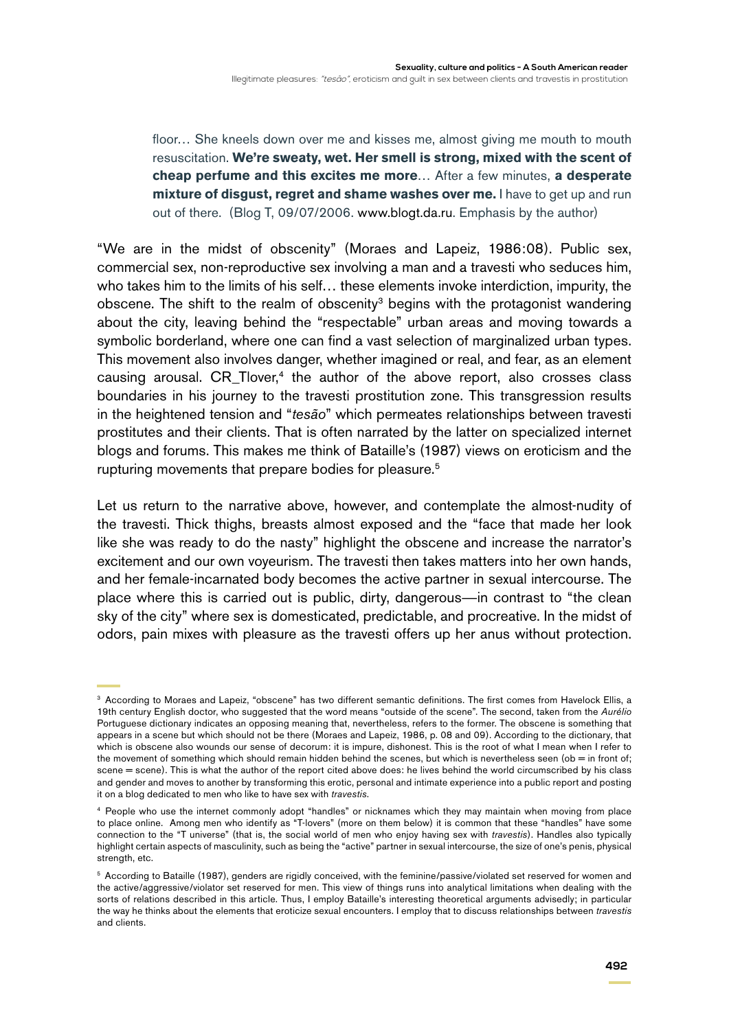floor… She kneels down over me and kisses me, almost giving me mouth to mouth resuscitation. **We're sweaty, wet. Her smell is strong, mixed with the scent of cheap perfume and this excites me more**… After a few minutes, **a desperate mixture of disgust, regret and shame washes over me.** I have to get up and run out of there. (Blog T, 09/07/2006. [www.blogt.da.ru.](http://www.blogt.da.ru) Emphasis by the author)

"We are in the midst of obscenity" (Moraes and Lapeiz, 1986:08). Public sex, commercial sex, non-reproductive sex involving a man and a travesti who seduces him, who takes him to the limits of his self… these elements invoke interdiction, impurity, the obscene. The shift to the realm of obscenity<sup>3</sup> begins with the protagonist wandering about the city, leaving behind the "respectable" urban areas and moving towards a symbolic borderland, where one can find a vast selection of marginalized urban types. This movement also involves danger, whether imagined or real, and fear, as an element causing arousal.  $CR\_Tlover<sub>1</sub><sup>4</sup>$  the author of the above report, also crosses class boundaries in his journey to the travesti prostitution zone. This transgression results in the heightened tension and "*tesão*" which permeates relationships between travesti prostitutes and their clients. That is often narrated by the latter on specialized internet blogs and forums. This makes me think of Bataille's (1987) views on eroticism and the rupturing movements that prepare bodies for pleasure.<sup>5</sup>

Let us return to the narrative above, however, and contemplate the almost-nudity of the travesti. Thick thighs, breasts almost exposed and the "face that made her look like she was ready to do the nasty" highlight the obscene and increase the narrator's excitement and our own voyeurism. The travesti then takes matters into her own hands, and her female-incarnated body becomes the active partner in sexual intercourse. The place where this is carried out is public, dirty, dangerous—in contrast to "the clean sky of the city" where sex is domesticated, predictable, and procreative. In the midst of odors, pain mixes with pleasure as the travesti offers up her anus without protection.

<sup>3</sup> According to Moraes and Lapeiz, "obscene" has two different semantic definitions. The first comes from Havelock Ellis, a 19th century English doctor, who suggested that the word means "outside of the scene". The second, taken from the *Aurélio*  Portuguese dictionary indicates an opposing meaning that, nevertheless, refers to the former. The obscene is something that appears in a scene but which should not be there (Moraes and Lapeiz, 1986, p. 08 and 09). According to the dictionary, that which is obscene also wounds our sense of decorum: it is impure, dishonest. This is the root of what I mean when I refer to the movement of something which should remain hidden behind the scenes, but which is nevertheless seen (ob = in front of; scene = scene). This is what the author of the report cited above does: he lives behind the world circumscribed by his class and gender and moves to another by transforming this erotic, personal and intimate experience into a public report and posting it on a blog dedicated to men who like to have sex with *travestis*.

<sup>4</sup> People who use the internet commonly adopt "handles" or nicknames which they may maintain when moving from place to place online. Among men who identify as "T-lovers" (more on them below) it is common that these "handles" have some connection to the "T universe" (that is, the social world of men who enjoy having sex with *travestis*). Handles also typically highlight certain aspects of masculinity, such as being the "active" partner in sexual intercourse, the size of one's penis, physical strength, etc.

<sup>5</sup> According to Bataille (1987), genders are rigidly conceived, with the feminine/passive/violated set reserved for women and the active/aggressive/violator set reserved for men. This view of things runs into analytical limitations when dealing with the sorts of relations described in this article. Thus, I employ Bataille's interesting theoretical arguments advisedly; in particular the way he thinks about the elements that eroticize sexual encounters. I employ that to discuss relationships between *travestis* and clients.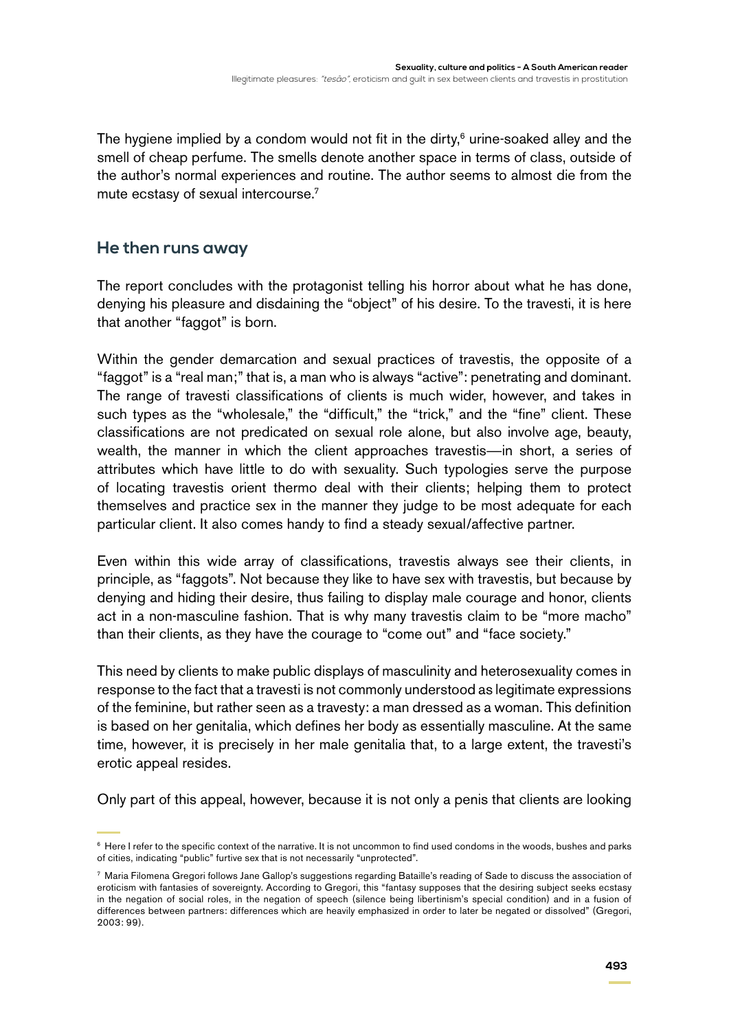The hygiene implied by a condom would not fit in the dirty, $6$  urine-soaked alley and the smell of cheap perfume. The smells denote another space in terms of class, outside of the author's normal experiences and routine. The author seems to almost die from the mute ecstasy of sexual intercourse.<sup>7</sup>

## **He then runs away**

The report concludes with the protagonist telling his horror about what he has done, denying his pleasure and disdaining the "object" of his desire. To the travesti, it is here that another "faggot" is born.

Within the gender demarcation and sexual practices of travestis, the opposite of a "faggot" is a "real man;" that is, a man who is always "active": penetrating and dominant. The range of travesti classifications of clients is much wider, however, and takes in such types as the "wholesale," the "difficult," the "trick," and the "fine" client. These classifications are not predicated on sexual role alone, but also involve age, beauty, wealth, the manner in which the client approaches travestis—in short, a series of attributes which have little to do with sexuality. Such typologies serve the purpose of locating travestis orient thermo deal with their clients; helping them to protect themselves and practice sex in the manner they judge to be most adequate for each particular client. It also comes handy to find a steady sexual/affective partner.

Even within this wide array of classifications, travestis always see their clients, in principle, as "faggots". Not because they like to have sex with travestis, but because by denying and hiding their desire, thus failing to display male courage and honor, clients act in a non-masculine fashion. That is why many travestis claim to be "more macho" than their clients, as they have the courage to "come out" and "face society."

This need by clients to make public displays of masculinity and heterosexuality comes in response to the fact that a travesti is not commonly understood as legitimate expressions of the feminine, but rather seen as a travesty: a man dressed as a woman. This definition is based on her genitalia, which defines her body as essentially masculine. At the same time, however, it is precisely in her male genitalia that, to a large extent, the travesti's erotic appeal resides.

Only part of this appeal, however, because it is not only a penis that clients are looking

<sup>6</sup> Here I refer to the specific context of the narrative. It is not uncommon to find used condoms in the woods, bushes and parks of cities, indicating "public" furtive sex that is not necessarily "unprotected".

<sup>7</sup> Maria Filomena Gregori follows Jane Gallop's suggestions regarding Bataille's reading of Sade to discuss the association of eroticism with fantasies of sovereignty. According to Gregori, this "fantasy supposes that the desiring subject seeks ecstasy in the negation of social roles, in the negation of speech (silence being libertinism's special condition) and in a fusion of differences between partners: differences which are heavily emphasized in order to later be negated or dissolved" (Gregori, 2003: 99).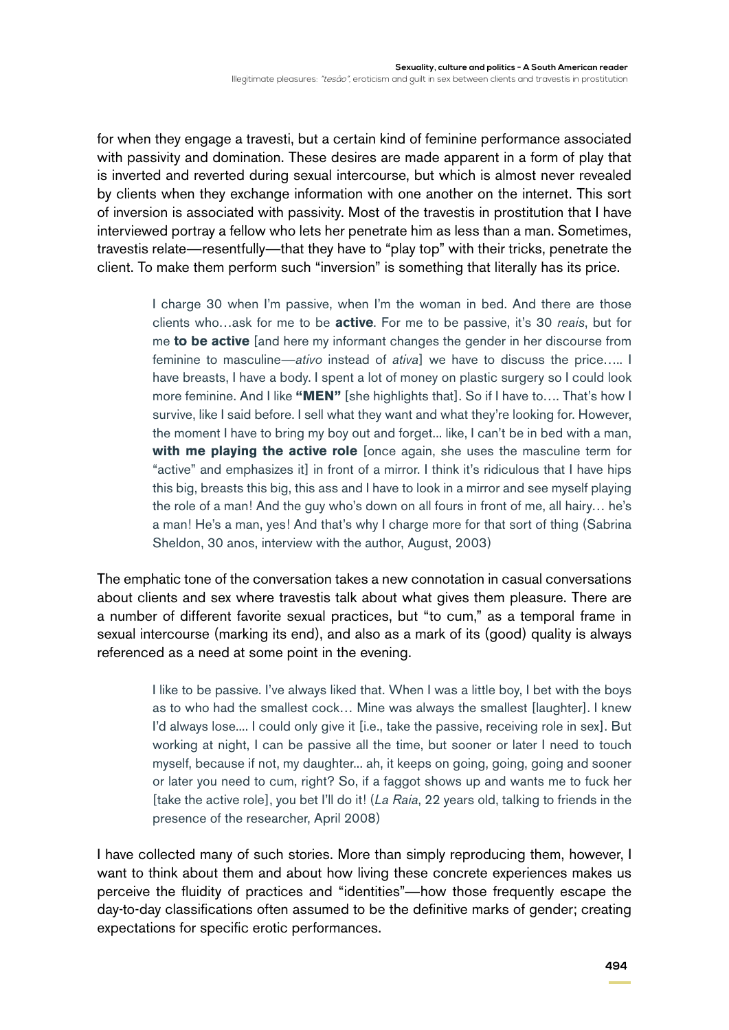for when they engage a travesti, but a certain kind of feminine performance associated with passivity and domination. These desires are made apparent in a form of play that is inverted and reverted during sexual intercourse, but which is almost never revealed by clients when they exchange information with one another on the internet. This sort of inversion is associated with passivity. Most of the travestis in prostitution that I have interviewed portray a fellow who lets her penetrate him as less than a man. Sometimes, travestis relate—resentfully—that they have to "play top" with their tricks, penetrate the client. To make them perform such "inversion" is something that literally has its price.

> I charge 30 when I'm passive, when I'm the woman in bed. And there are those clients who…ask for me to be **active**. For me to be passive, it's 30 *reais*, but for me **to be active** [and here my informant changes the gender in her discourse from feminine to masculine—*ativo* instead of *ativa*] we have to discuss the price….. I have breasts, I have a body. I spent a lot of money on plastic surgery so I could look more feminine. And I like **"MEN"** [she highlights that]. So if I have to…. That's how I survive, like I said before. I sell what they want and what they're looking for. However, the moment I have to bring my boy out and forget... like, I can't be in bed with a man, **with me playing the active role** [once again, she uses the masculine term for "active" and emphasizes it] in front of a mirror. I think it's ridiculous that I have hips this big, breasts this big, this ass and I have to look in a mirror and see myself playing the role of a man! And the guy who's down on all fours in front of me, all hairy… he's a man! He's a man, yes! And that's why I charge more for that sort of thing (Sabrina Sheldon, 30 anos, interview with the author, August, 2003)

The emphatic tone of the conversation takes a new connotation in casual conversations about clients and sex where travestis talk about what gives them pleasure. There are a number of different favorite sexual practices, but "to cum," as a temporal frame in sexual intercourse (marking its end), and also as a mark of its (good) quality is always referenced as a need at some point in the evening.

> I like to be passive. I've always liked that. When I was a little boy, I bet with the boys as to who had the smallest cock… Mine was always the smallest [laughter]. I knew I'd always lose.... I could only give it [i.e., take the passive, receiving role in sex]. But working at night, I can be passive all the time, but sooner or later I need to touch myself, because if not, my daughter... ah, it keeps on going, going, going and sooner or later you need to cum, right? So, if a faggot shows up and wants me to fuck her [take the active role], you bet I'll do it! (*La Raia*, 22 years old, talking to friends in the presence of the researcher, April 2008)

I have collected many of such stories. More than simply reproducing them, however, I want to think about them and about how living these concrete experiences makes us perceive the fluidity of practices and "identities"—how those frequently escape the day-to-day classifications often assumed to be the definitive marks of gender; creating expectations for specific erotic performances.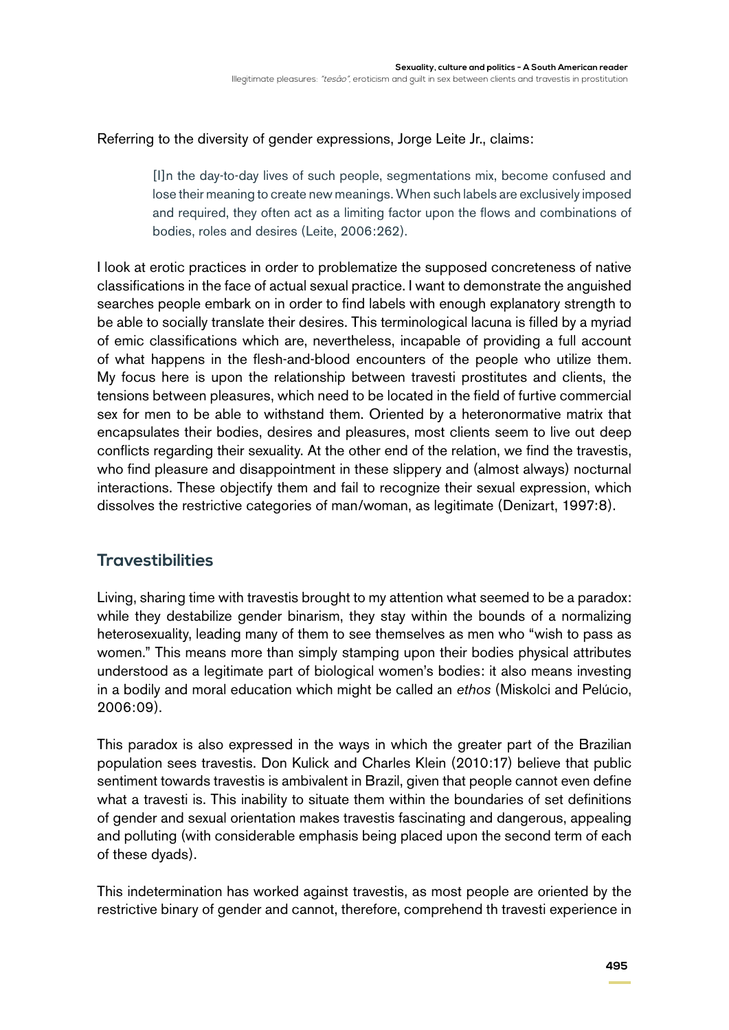Referring to the diversity of gender expressions, Jorge Leite Jr., claims:

[I]n the day-to-day lives of such people, segmentations mix, become confused and lose their meaning to create new meanings. When such labels are exclusively imposed and required, they often act as a limiting factor upon the flows and combinations of bodies, roles and desires (Leite, 2006:262).

I look at erotic practices in order to problematize the supposed concreteness of native classifications in the face of actual sexual practice. I want to demonstrate the anguished searches people embark on in order to find labels with enough explanatory strength to be able to socially translate their desires. This terminological lacuna is filled by a myriad of emic classifications which are, nevertheless, incapable of providing a full account of what happens in the flesh-and-blood encounters of the people who utilize them. My focus here is upon the relationship between travesti prostitutes and clients, the tensions between pleasures, which need to be located in the field of furtive commercial sex for men to be able to withstand them. Oriented by a heteronormative matrix that encapsulates their bodies, desires and pleasures, most clients seem to live out deep conflicts regarding their sexuality. At the other end of the relation, we find the travestis, who find pleasure and disappointment in these slippery and (almost always) nocturnal interactions. These objectify them and fail to recognize their sexual expression, which dissolves the restrictive categories of man/woman, as legitimate (Denizart, 1997:8).

# **Travestibilities**

Living, sharing time with travestis brought to my attention what seemed to be a paradox: while they destabilize gender binarism, they stay within the bounds of a normalizing heterosexuality, leading many of them to see themselves as men who "wish to pass as women." This means more than simply stamping upon their bodies physical attributes understood as a legitimate part of biological women's bodies: it also means investing in a bodily and moral education which might be called an *ethos* (Miskolci and Pelúcio, 2006:09).

This paradox is also expressed in the ways in which the greater part of the Brazilian population sees travestis. Don Kulick and Charles Klein (2010:17) believe that public sentiment towards travestis is ambivalent in Brazil, given that people cannot even define what a travesti is. This inability to situate them within the boundaries of set definitions of gender and sexual orientation makes travestis fascinating and dangerous, appealing and polluting (with considerable emphasis being placed upon the second term of each of these dyads).

This indetermination has worked against travestis, as most people are oriented by the restrictive binary of gender and cannot, therefore, comprehend th travesti experience in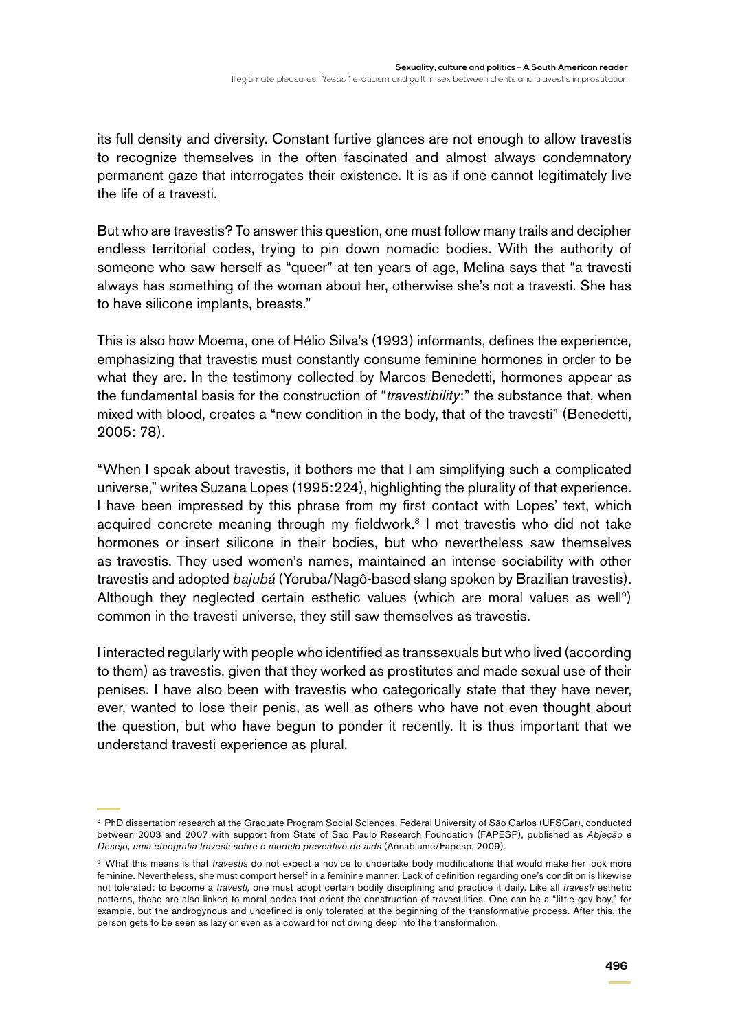its full density and diversity. Constant furtive glances are not enough to allow travestis to recognize themselves in the often fascinated and almost always condemnatory permanent gaze that interrogates their existence. It is as if one cannot legitimately live the life of a travesti.

But who are travestis? To answer this question, one must follow many trails and decipher endless territorial codes, trying to pin down nomadic bodies. With the authority of someone who saw herself as "queer" at ten years of age, Melina says that "a travesti always has something of the woman about her, otherwise she's not a travesti. She has to have silicone implants, breasts."

This is also how Moema, one of Hélio Silva's (1993) informants, defines the experience, emphasizing that travestis must constantly consume feminine hormones in order to be what they are. In the testimony collected by Marcos Benedetti, hormones appear as the fundamental basis for the construction of "*travestibility*:" the substance that, when mixed with blood, creates a "new condition in the body, that of the travesti" (Benedetti, 2005: 78).

"When I speak about travestis, it bothers me that I am simplifying such a complicated universe," writes Suzana Lopes (1995:224), highlighting the plurality of that experience. I have been impressed by this phrase from my first contact with Lopes' text, which acquired concrete meaning through my fieldwork.<sup>8</sup> I met travestis who did not take hormones or insert silicone in their bodies, but who nevertheless saw themselves as travestis. They used women's names, maintained an intense sociability with other travestis and adopted *bajubá* (Yoruba/Nagô-based slang spoken by Brazilian travestis). Although they neglected certain esthetic values (which are moral values as well<sup>9</sup>) common in the travesti universe, they still saw themselves as travestis.

I interacted regularly with people who identified as transsexuals but who lived (according to them) as travestis, given that they worked as prostitutes and made sexual use of their penises. I have also been with travestis who categorically state that they have never, ever, wanted to lose their penis, as well as others who have not even thought about the question, but who have begun to ponder it recently. It is thus important that we understand travesti experience as plural.

<sup>&</sup>lt;sup>8</sup> PhD dissertation research at the Graduate Program Social Sciences, Federal University of São Carlos (UFSCar), conducted between 2003 and 2007 with support from State of São Paulo Research Foundation (FAPESP), published as *Abjeção e Desejo, uma etnografia travesti sobre o modelo preventivo de aids* (Annablume/Fapesp, 2009).

<sup>9</sup> What this means is that *travestis* do not expect a novice to undertake body modifications that would make her look more feminine. Nevertheless, she must comport herself in a feminine manner. Lack of definition regarding one's condition is likewise not tolerated: to become a *travesti,* one must adopt certain bodily disciplining and practice it daily. Like all *travesti* esthetic patterns, these are also linked to moral codes that orient the construction of travestilities. One can be a "little gay boy," for example, but the androgynous and undefined is only tolerated at the beginning of the transformative process. After this, the person gets to be seen as lazy or even as a coward for not diving deep into the transformation.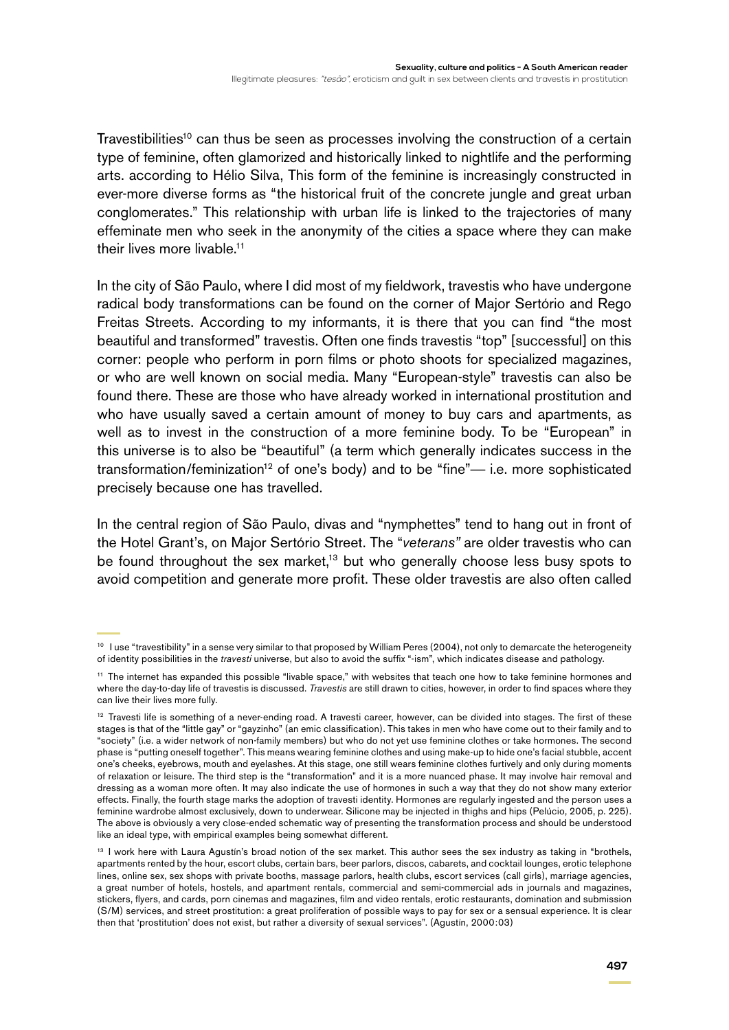Travestibilities<sup>10</sup> can thus be seen as processes involving the construction of a certain type of feminine, often glamorized and historically linked to nightlife and the performing arts. according to Hélio Silva, This form of the feminine is increasingly constructed in ever-more diverse forms as "the historical fruit of the concrete jungle and great urban conglomerates." This relationship with urban life is linked to the trajectories of many effeminate men who seek in the anonymity of the cities a space where they can make their lives more livable.<sup>11</sup>

In the city of São Paulo, where I did most of my fieldwork, travestis who have undergone radical body transformations can be found on the corner of Major Sertório and Rego Freitas Streets. According to my informants, it is there that you can find "the most beautiful and transformed" travestis. Often one finds travestis "top" [successful] on this corner: people who perform in porn films or photo shoots for specialized magazines, or who are well known on social media. Many "European-style" travestis can also be found there. These are those who have already worked in international prostitution and who have usually saved a certain amount of money to buy cars and apartments, as well as to invest in the construction of a more feminine body. To be "European" in this universe is to also be "beautiful" (a term which generally indicates success in the transformation/feminization<sup>12</sup> of one's body) and to be "fine"— i.e. more sophisticated precisely because one has travelled.

In the central region of São Paulo, divas and "nymphettes" tend to hang out in front of the Hotel Grant's, on Major Sertório Street. The "*veterans"* are older travestis who can be found throughout the sex market,<sup>13</sup> but who generally choose less busy spots to avoid competition and generate more profit. These older travestis are also often called

<sup>&</sup>lt;sup>10</sup> I use "travestibility" in a sense very similar to that proposed by William Peres (2004), not only to demarcate the heterogeneity of identity possibilities in the *travesti* universe, but also to avoid the suffix "-ism", which indicates disease and pathology.

<sup>11</sup> The internet has expanded this possible "livable space," with websites that teach one how to take feminine hormones and where the day-to-day life of travestis is discussed. *Travestis* are still drawn to cities, however, in order to find spaces where they can live their lives more fully.

<sup>&</sup>lt;sup>12</sup> Travesti life is something of a never-ending road. A travesti career, however, can be divided into stages. The first of these stages is that of the "little gay" or "gayzinho" (an emic classification). This takes in men who have come out to their family and to "society" (i.e. a wider network of non-family members) but who do not yet use feminine clothes or take hormones. The second phase is "putting oneself together". This means wearing feminine clothes and using make-up to hide one's facial stubble, accent one's cheeks, eyebrows, mouth and eyelashes. At this stage, one still wears feminine clothes furtively and only during moments of relaxation or leisure. The third step is the "transformation" and it is a more nuanced phase. It may involve hair removal and dressing as a woman more often. It may also indicate the use of hormones in such a way that they do not show many exterior effects. Finally, the fourth stage marks the adoption of travesti identity. Hormones are regularly ingested and the person uses a feminine wardrobe almost exclusively, down to underwear. Silicone may be injected in thighs and hips (Pelúcio, 2005, p. 225). The above is obviously a very close-ended schematic way of presenting the transformation process and should be understood like an ideal type, with empirical examples being somewhat different.

<sup>&</sup>lt;sup>13</sup> I work here with Laura Agustin's broad notion of the sex market. This author sees the sex industry as taking in "brothels, apartments rented by the hour, escort clubs, certain bars, beer parlors, discos, cabarets, and cocktail lounges, erotic telephone lines, online sex, sex shops with private booths, massage parlors, health clubs, escort services (call girls), marriage agencies, a great number of hotels, hostels, and apartment rentals, commercial and semi-commercial ads in journals and magazines, stickers, flyers, and cards, porn cinemas and magazines, film and video rentals, erotic restaurants, domination and submission (S/M) services, and street prostitution: a great proliferation of possible ways to pay for sex or a sensual experience. It is clear then that 'prostitution' does not exist, but rather a diversity of sexual services". (Agustín, 2000:03)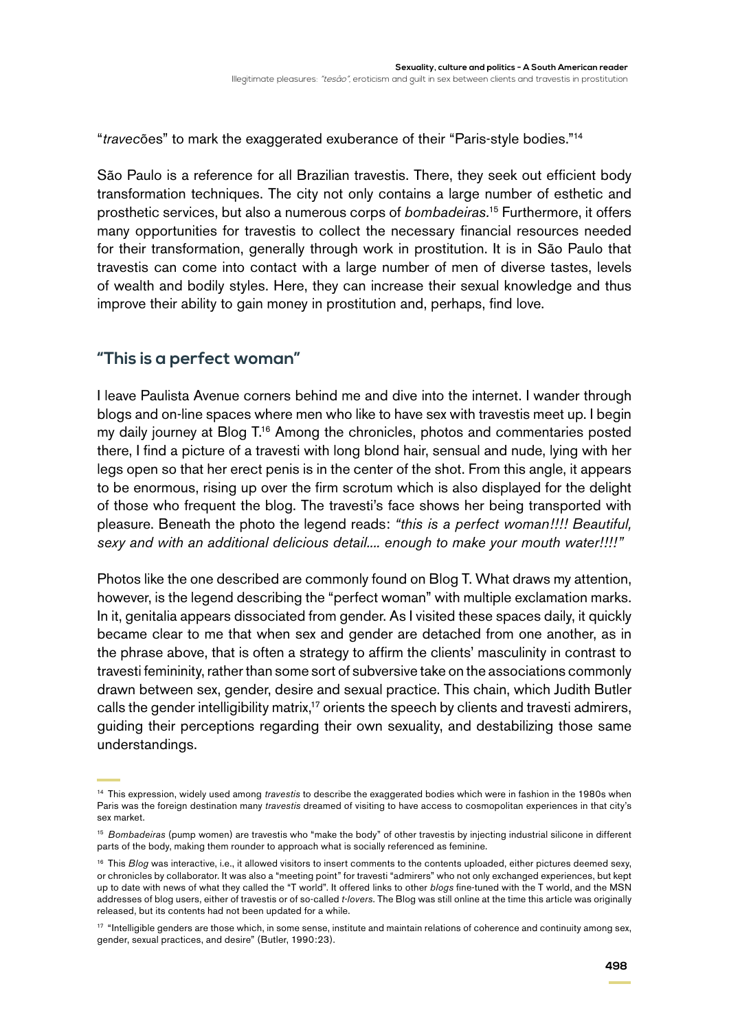"*travec*ões" to mark the exaggerated exuberance of their "Paris-style bodies."14

São Paulo is a reference for all Brazilian travestis. There, they seek out efficient body transformation techniques. The city not only contains a large number of esthetic and prosthetic services, but also a numerous corps of *bombadeiras.*15 Furthermore, it offers many opportunities for travestis to collect the necessary financial resources needed for their transformation, generally through work in prostitution. It is in São Paulo that travestis can come into contact with a large number of men of diverse tastes, levels of wealth and bodily styles. Here, they can increase their sexual knowledge and thus improve their ability to gain money in prostitution and, perhaps, find love.

## **"This is a perfect woman"**

I leave Paulista Avenue corners behind me and dive into the internet. I wander through blogs and on-line spaces where men who like to have sex with travestis meet up. I begin my daily journey at Blog T.<sup>16</sup> Among the chronicles, photos and commentaries posted there, I find a picture of a travesti with long blond hair, sensual and nude, lying with her legs open so that her erect penis is in the center of the shot. From this angle, it appears to be enormous, rising up over the firm scrotum which is also displayed for the delight of those who frequent the blog. The travesti's face shows her being transported with pleasure. Beneath the photo the legend reads: *"this is a perfect woman!!!! Beautiful, sexy and with an additional delicious detail.... enough to make your mouth water!!!!"*

Photos like the one described are commonly found on Blog T. What draws my attention, however, is the legend describing the "perfect woman" with multiple exclamation marks. In it, genitalia appears dissociated from gender. As I visited these spaces daily, it quickly became clear to me that when sex and gender are detached from one another, as in the phrase above, that is often a strategy to affirm the clients' masculinity in contrast to travesti femininity, rather than some sort of subversive take on the associations commonly drawn between sex, gender, desire and sexual practice. This chain, which Judith Butler calls the gender intelligibility matrix,<sup>17</sup> orients the speech by clients and travesti admirers, guiding their perceptions regarding their own sexuality, and destabilizing those same understandings.

<sup>14</sup> This expression, widely used among *travestis* to describe the exaggerated bodies which were in fashion in the 1980s when Paris was the foreign destination many *travestis* dreamed of visiting to have access to cosmopolitan experiences in that city's sex market.

<sup>15</sup> *Bombadeiras* (pump women) are travestis who "make the body" of other travestis by injecting industrial silicone in different parts of the body, making them rounder to approach what is socially referenced as feminine.

<sup>&</sup>lt;sup>16</sup> This *Blog* was interactive, i.e., it allowed visitors to insert comments to the contents uploaded, either pictures deemed sexy, or chronicles by collaborator. It was also a "meeting point" for travesti "admirers" who not only exchanged experiences, but kept up to date with news of what they called the "T world". It offered links to other *blogs* fine-tuned with the T world, and the MSN addresses of blog users, either of travestis or of so-called *t-lovers*. The Blog was still online at the time this article was originally released, but its contents had not been updated for a while.

<sup>&</sup>lt;sup>17</sup> "Intelligible genders are those which, in some sense, institute and maintain relations of coherence and continuity among sex, gender, sexual practices, and desire" (Butler, 1990:23).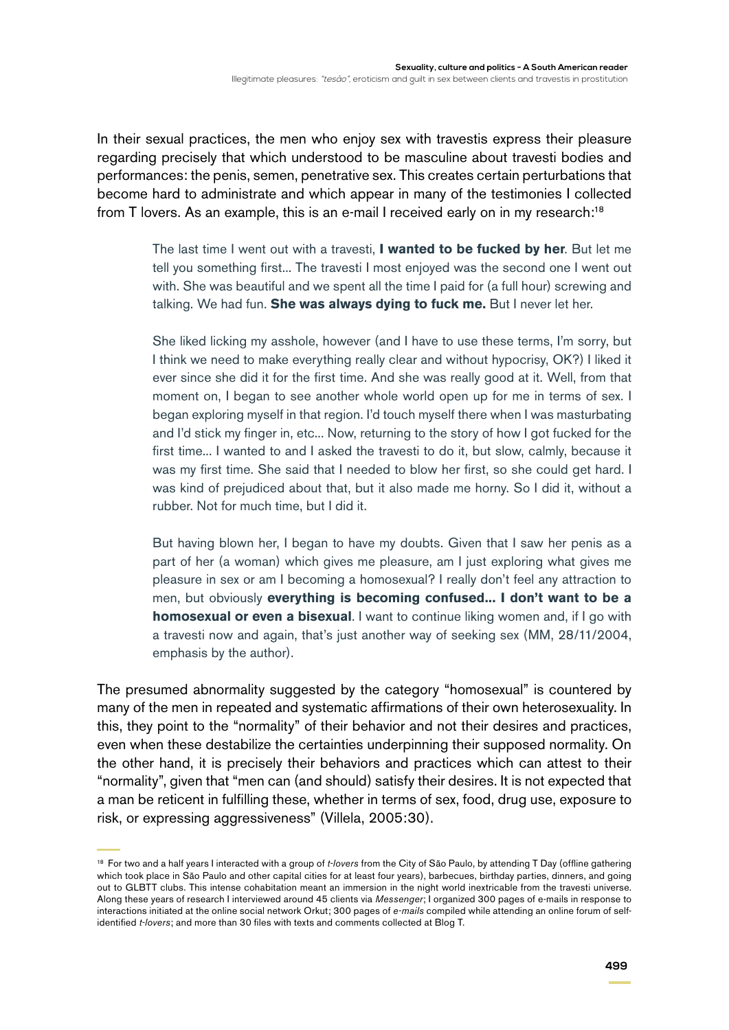In their sexual practices, the men who enjoy sex with travestis express their pleasure regarding precisely that which understood to be masculine about travesti bodies and performances: the penis, semen, penetrative sex. This creates certain perturbations that become hard to administrate and which appear in many of the testimonies I collected from T lovers. As an example, this is an e-mail I received early on in my research:<sup>18</sup>

> The last time I went out with a travesti, **I wanted to be fucked by her**. But let me tell you something first... The travesti I most enjoyed was the second one I went out with. She was beautiful and we spent all the time I paid for (a full hour) screwing and talking. We had fun. **She was always dying to fuck me.** But I never let her.

> She liked licking my asshole, however (and I have to use these terms, I'm sorry, but I think we need to make everything really clear and without hypocrisy, OK?) I liked it ever since she did it for the first time. And she was really good at it. Well, from that moment on, I began to see another whole world open up for me in terms of sex. I began exploring myself in that region. I'd touch myself there when I was masturbating and I'd stick my finger in, etc... Now, returning to the story of how I got fucked for the first time... I wanted to and I asked the travesti to do it, but slow, calmly, because it was my first time. She said that I needed to blow her first, so she could get hard. I was kind of prejudiced about that, but it also made me horny. So I did it, without a rubber. Not for much time, but I did it.

> But having blown her, I began to have my doubts. Given that I saw her penis as a part of her (a woman) which gives me pleasure, am I just exploring what gives me pleasure in sex or am I becoming a homosexual? I really don't feel any attraction to men, but obviously **everything is becoming confused... I don't want to be a homosexual or even a bisexual**. I want to continue liking women and, if I go with a travesti now and again, that's just another way of seeking sex (MM, 28/11/2004, emphasis by the author).

The presumed abnormality suggested by the category "homosexual" is countered by many of the men in repeated and systematic affirmations of their own heterosexuality. In this, they point to the "normality" of their behavior and not their desires and practices, even when these destabilize the certainties underpinning their supposed normality. On the other hand, it is precisely their behaviors and practices which can attest to their "normality", given that "men can (and should) satisfy their desires. It is not expected that a man be reticent in fulfilling these, whether in terms of sex, food, drug use, exposure to risk, or expressing aggressiveness" (Villela, 2005:30).

<sup>18</sup> For two and a half years I interacted with a group of *t-lovers* from the City of São Paulo, by attending T Day (offline gathering which took place in São Paulo and other capital cities for at least four years), barbecues, birthday parties, dinners, and going out to GLBTT clubs. This intense cohabitation meant an immersion in the night world inextricable from the travesti universe. Along these years of research I interviewed around 45 clients via *Messenger*; I organized 300 pages of e-mails in response to interactions initiated at the online social network Orkut; 300 pages of *e-mails* compiled while attending an online forum of selfidentified *t-lovers*; and more than 30 files with texts and comments collected at Blog T.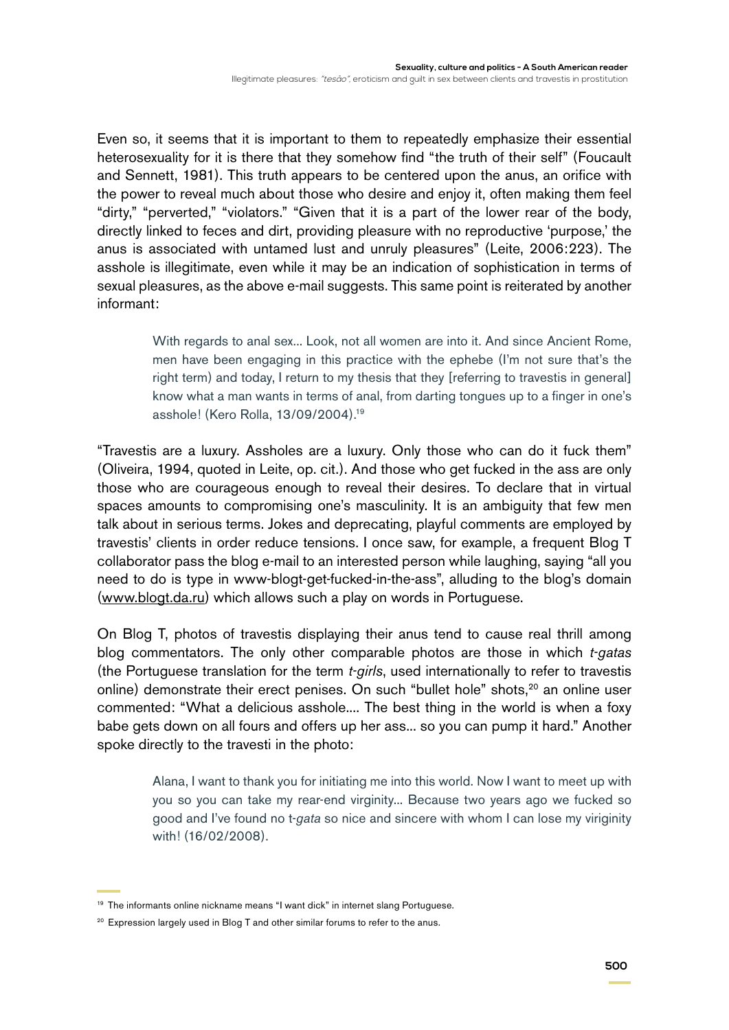Even so, it seems that it is important to them to repeatedly emphasize their essential heterosexuality for it is there that they somehow find "the truth of their self" (Foucault and Sennett, 1981). This truth appears to be centered upon the anus, an orifice with the power to reveal much about those who desire and enjoy it, often making them feel "dirty," "perverted," "violators." "Given that it is a part of the lower rear of the body, directly linked to feces and dirt, providing pleasure with no reproductive 'purpose,' the anus is associated with untamed lust and unruly pleasures" (Leite, 2006:223). The asshole is illegitimate, even while it may be an indication of sophistication in terms of sexual pleasures, as the above e-mail suggests. This same point is reiterated by another informant:

> With regards to anal sex... Look, not all women are into it. And since Ancient Rome, men have been engaging in this practice with the ephebe (I'm not sure that's the right term) and today, I return to my thesis that they [referring to travestis in general] know what a man wants in terms of anal, from darting tongues up to a finger in one's asshole! (Kero Rolla, 13/09/2004).19

"Travestis are a luxury. Assholes are a luxury. Only those who can do it fuck them" (Oliveira, 1994, quoted in Leite, op. cit.). And those who get fucked in the ass are only those who are courageous enough to reveal their desires. To declare that in virtual spaces amounts to compromising one's masculinity. It is an ambiguity that few men talk about in serious terms. Jokes and deprecating, playful comments are employed by travestis' clients in order reduce tensions. I once saw, for example, a frequent Blog T collaborator pass the blog e-mail to an interested person while laughing, saying "all you need to do is type in www-blogt-get-fucked-in-the-ass", alluding to the blog's domain [\(www.blogt.da.ru\)](http://www.blogt.da.ru/) which allows such a play on words in Portuguese.

On Blog T, photos of travestis displaying their anus tend to cause real thrill among blog commentators. The only other comparable photos are those in which *t-gatas* (the Portuguese translation for the term *t-girls*, used internationally to refer to travestis online) demonstrate their erect penises. On such "bullet hole" shots,<sup>20</sup> an online user commented: "What a delicious asshole.... The best thing in the world is when a foxy babe gets down on all fours and offers up her ass... so you can pump it hard." Another spoke directly to the travesti in the photo:

> Alana, I want to thank you for initiating me into this world. Now I want to meet up with you so you can take my rear-end virginity... Because two years ago we fucked so good and I've found no t-*gata* so nice and sincere with whom I can lose my viriginity with! (16/02/2008).

<sup>&</sup>lt;sup>19</sup> The informants online nickname means "I want dick" in internet slang Portuguese.

<sup>&</sup>lt;sup>20</sup> Expression largely used in Blog T and other similar forums to refer to the anus.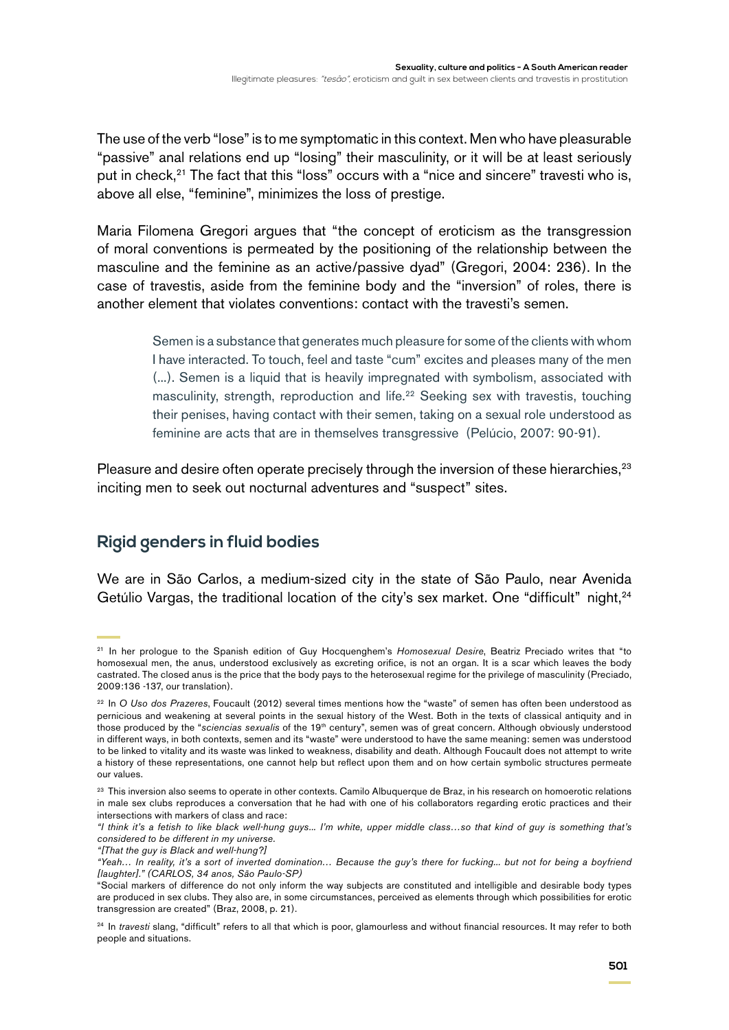The use of the verb "lose" is to me symptomatic in this context. Men who have pleasurable "passive" anal relations end up "losing" their masculinity, or it will be at least seriously put in check, $21$  The fact that this "loss" occurs with a "nice and sincere" travesti who is, above all else, "feminine", minimizes the loss of prestige.

Maria Filomena Gregori argues that "the concept of eroticism as the transgression of moral conventions is permeated by the positioning of the relationship between the masculine and the feminine as an active/passive dyad" (Gregori, 2004: 236). In the case of travestis, aside from the feminine body and the "inversion" of roles, there is another element that violates conventions: contact with the travesti's semen.

> Semen is a substance that generates much pleasure for some of the clients with whom I have interacted. To touch, feel and taste "cum" excites and pleases many of the men (...). Semen is a liquid that is heavily impregnated with symbolism, associated with masculinity, strength, reproduction and life.<sup>22</sup> Seeking sex with travestis, touching their penises, having contact with their semen, taking on a sexual role understood as feminine are acts that are in themselves transgressive (Pelúcio, 2007: 90-91).

Pleasure and desire often operate precisely through the inversion of these hierarchies,<sup>23</sup> inciting men to seek out nocturnal adventures and "suspect" sites.

# **Rigid genders in fluid bodies**

We are in São Carlos, a medium-sized city in the state of São Paulo, near Avenida Getúlio Vargas, the traditional location of the city's sex market. One "difficult" night,<sup>24</sup>

<sup>21</sup> In her prologue to the Spanish edition of Guy Hocquenghem's *Homosexual Desire*, Beatriz Preciado writes that "to homosexual men, the anus, understood exclusively as excreting orifice, is not an organ. It is a scar which leaves the body castrated. The closed anus is the price that the body pays to the heterosexual regime for the privilege of masculinity (Preciado, 2009:136 -137, our translation).

<sup>22</sup> In *O Uso dos Prazeres*, Foucault (2012) several times mentions how the "waste" of semen has often been understood as pernicious and weakening at several points in the sexual history of the West. Both in the texts of classical antiquity and in those produced by the "*sciencias sexualis* of the 19th century", semen was of great concern. Although obviously understood in different ways, in both contexts, semen and its "waste" were understood to have the same meaning: semen was understood to be linked to vitality and its waste was linked to weakness, disability and death. Although Foucault does not attempt to write a history of these representations, one cannot help but reflect upon them and on how certain symbolic structures permeate our values.

<sup>&</sup>lt;sup>23</sup> This inversion also seems to operate in other contexts. Camilo Albuquerque de Braz, in his research on homoerotic relations in male sex clubs reproduces a conversation that he had with one of his collaborators regarding erotic practices and their intersections with markers of class and race:

*<sup>&</sup>quot;I think it's a fetish to like black well-hung guys... I'm white, upper middle class…so that kind of guy is something that's considered to be different in my universe.* 

*<sup>&</sup>quot;[That the guy is Black and well-hung?]* 

*<sup>&</sup>quot;Yeah… In reality, it's a sort of inverted domination… Because the guy's there for fucking... but not for being a boyfriend [laughter]." (CARLOS, 34 anos, São Paulo-SP)*

<sup>&</sup>quot;Social markers of difference do not only inform the way subjects are constituted and intelligible and desirable body types are produced in sex clubs. They also are, in some circumstances, perceived as elements through which possibilities for erotic transgression are created" (Braz, 2008, p. 21).

<sup>24</sup> In *travesti* slang, "difficult" refers to all that which is poor, glamourless and without financial resources. It may refer to both people and situations.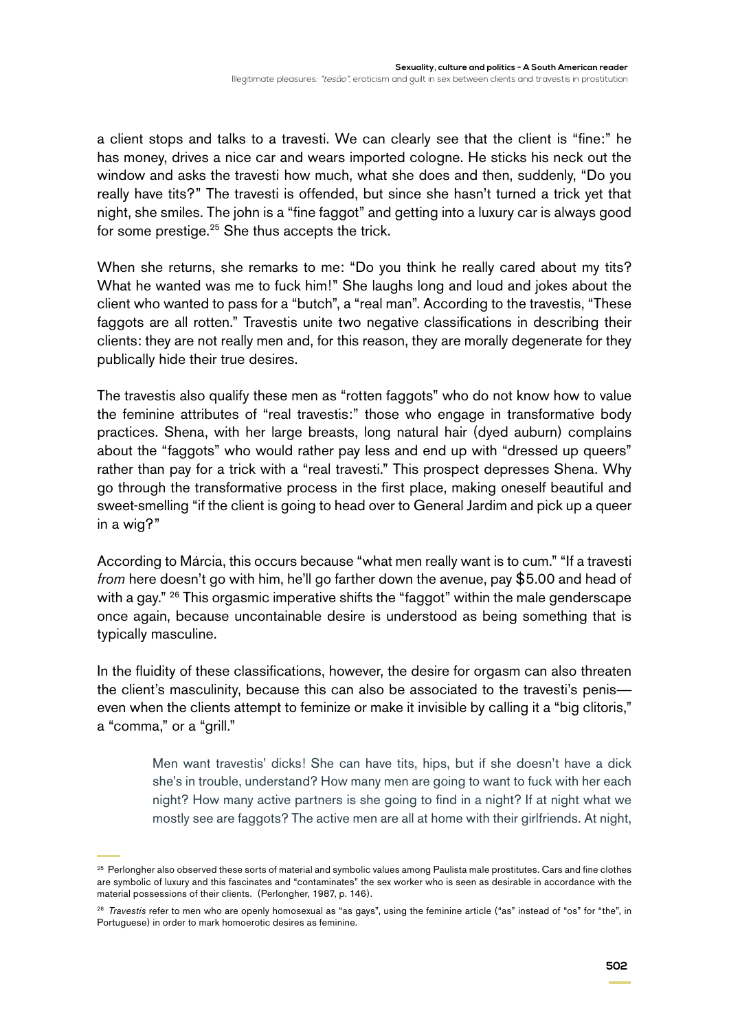a client stops and talks to a travesti. We can clearly see that the client is "fine:" he has money, drives a nice car and wears imported cologne. He sticks his neck out the window and asks the travesti how much, what she does and then, suddenly, "Do you really have tits?" The travesti is offended, but since she hasn't turned a trick yet that night, she smiles. The john is a "fine faggot" and getting into a luxury car is always good for some prestige.<sup>25</sup> She thus accepts the trick.

When she returns, she remarks to me: "Do you think he really cared about my tits? What he wanted was me to fuck him!" She laughs long and loud and jokes about the client who wanted to pass for a "butch", a "real man". According to the travestis, "These faggots are all rotten." Travestis unite two negative classifications in describing their clients: they are not really men and, for this reason, they are morally degenerate for they publically hide their true desires.

The travestis also qualify these men as "rotten faggots" who do not know how to value the feminine attributes of "real travestis:" those who engage in transformative body practices. Shena, with her large breasts, long natural hair (dyed auburn) complains about the "faggots" who would rather pay less and end up with "dressed up queers" rather than pay for a trick with a "real travesti." This prospect depresses Shena. Why go through the transformative process in the first place, making oneself beautiful and sweet-smelling "if the client is going to head over to General Jardim and pick up a queer in a wig?"

According to Márcia, this occurs because "what men really want is to cum." "If a travesti *from* here doesn't go with him, he'll go farther down the avenue, pay \$5.00 and head of with a gay." <sup>26</sup> This orgasmic imperative shifts the "faggot" within the male genderscape once again, because uncontainable desire is understood as being something that is typically masculine.

In the fluidity of these classifications, however, the desire for orgasm can also threaten the client's masculinity, because this can also be associated to the travesti's penis even when the clients attempt to feminize or make it invisible by calling it a "big clitoris," a "comma," or a "grill."

> Men want travestis' dicks! She can have tits, hips, but if she doesn't have a dick she's in trouble, understand? How many men are going to want to fuck with her each night? How many active partners is she going to find in a night? If at night what we mostly see are faggots? The active men are all at home with their girlfriends. At night,

<sup>&</sup>lt;sup>25</sup> Perlongher also observed these sorts of material and symbolic values among Paulista male prostitutes. Cars and fine clothes are symbolic of luxury and this fascinates and "contaminates" the sex worker who is seen as desirable in accordance with the material possessions of their clients. (Perlongher, 1987, p. 146).

<sup>26</sup> *Travestis* refer to men who are openly homosexual as "as gays", using the feminine article ("as" instead of "os" for "the", in Portuguese) in order to mark homoerotic desires as feminine.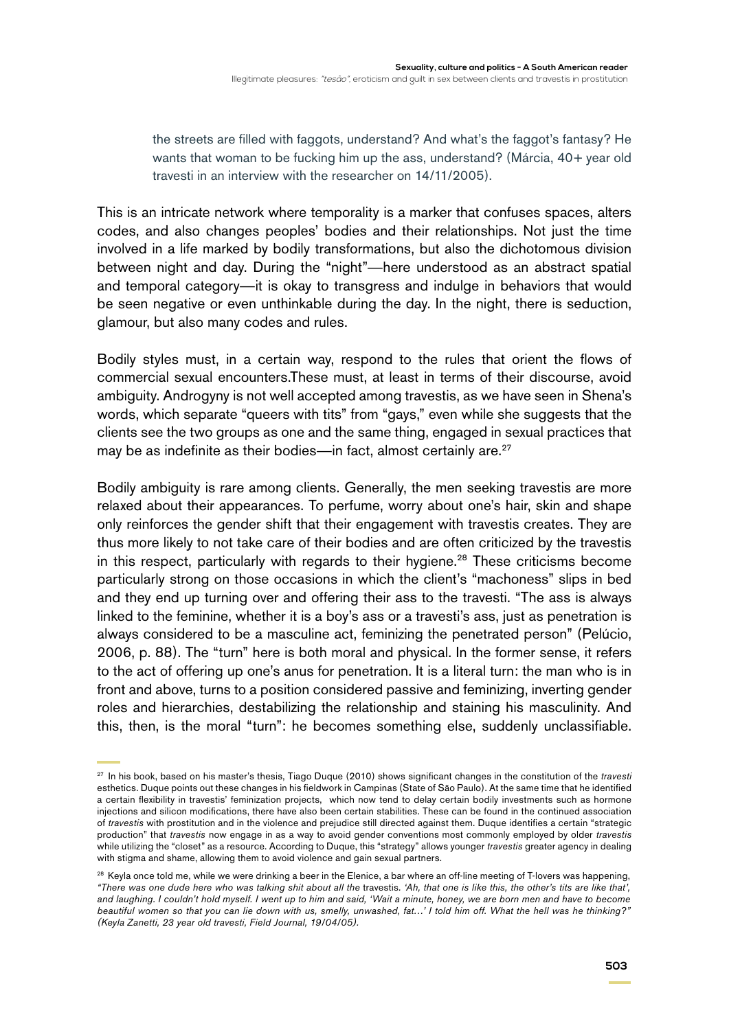the streets are filled with faggots, understand? And what's the faggot's fantasy? He wants that woman to be fucking him up the ass, understand? (Márcia, 40+ year old travesti in an interview with the researcher on 14/11/2005).

This is an intricate network where temporality is a marker that confuses spaces, alters codes, and also changes peoples' bodies and their relationships. Not just the time involved in a life marked by bodily transformations, but also the dichotomous division between night and day. During the "night"—here understood as an abstract spatial and temporal category—it is okay to transgress and indulge in behaviors that would be seen negative or even unthinkable during the day. In the night, there is seduction, glamour, but also many codes and rules.

Bodily styles must, in a certain way, respond to the rules that orient the flows of commercial sexual encounters.These must, at least in terms of their discourse, avoid ambiguity. Androgyny is not well accepted among travestis, as we have seen in Shena's words, which separate "queers with tits" from "gays," even while she suggests that the clients see the two groups as one and the same thing, engaged in sexual practices that may be as indefinite as their bodies—in fact, almost certainly are.<sup>27</sup>

Bodily ambiguity is rare among clients. Generally, the men seeking travestis are more relaxed about their appearances. To perfume, worry about one's hair, skin and shape only reinforces the gender shift that their engagement with travestis creates. They are thus more likely to not take care of their bodies and are often criticized by the travestis in this respect, particularly with regards to their hygiene.<sup>28</sup> These criticisms become particularly strong on those occasions in which the client's "machoness" slips in bed and they end up turning over and offering their ass to the travesti. "The ass is always linked to the feminine, whether it is a boy's ass or a travesti's ass, just as penetration is always considered to be a masculine act, feminizing the penetrated person" (Pelúcio, 2006, p. 88). The "turn" here is both moral and physical. In the former sense, it refers to the act of offering up one's anus for penetration. It is a literal turn: the man who is in front and above, turns to a position considered passive and feminizing, inverting gender roles and hierarchies, destabilizing the relationship and staining his masculinity. And this, then, is the moral "turn": he becomes something else, suddenly unclassifiable.

<sup>27</sup> In his book, based on his master's thesis, Tiago Duque (2010) shows significant changes in the constitution of the *travesti*  esthetics. Duque points out these changes in his fieldwork in Campinas (State of São Paulo). At the same time that he identified a certain flexibility in travestis' feminization projects, which now tend to delay certain bodily investments such as hormone injections and silicon modifications, there have also been certain stabilities. These can be found in the continued association of *travestis* with prostitution and in the violence and prejudice still directed against them. Duque identifies a certain "strategic production" that *travestis* now engage in as a way to avoid gender conventions most commonly employed by older *travestis* while utilizing the "closet" as a resource. According to Duque, this "strategy" allows younger *travestis* greater agency in dealing with stigma and shame, allowing them to avoid violence and gain sexual partners.

<sup>&</sup>lt;sup>28</sup> Keyla once told me, while we were drinking a beer in the Elenice, a bar where an off-line meeting of T-lovers was happening, *"There was one dude here who was talking shit about all the* travestis*. 'Ah, that one is like this, the other's tits are like that',*  and laughing. I couldn't hold myself. I went up to him and said, 'Wait a minute, honey, we are born men and have to become *beautiful women so that you can lie down with us, smelly, unwashed, fat…' I told him off. What the hell was he thinking?" (Keyla Zanetti, 23 year old travesti, Field Journal, 19/04/05).*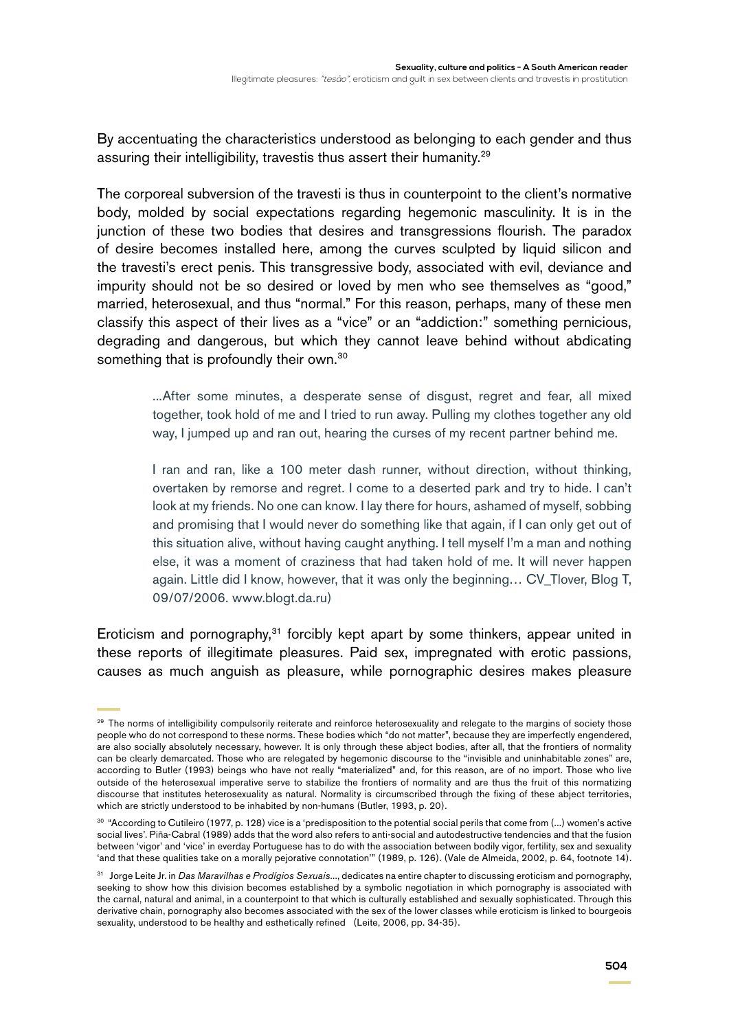By accentuating the characteristics understood as belonging to each gender and thus assuring their intelligibility, travestis thus assert their humanity.<sup>29</sup>

The corporeal subversion of the travesti is thus in counterpoint to the client's normative body, molded by social expectations regarding hegemonic masculinity. It is in the junction of these two bodies that desires and transgressions flourish. The paradox of desire becomes installed here, among the curves sculpted by liquid silicon and the travesti's erect penis. This transgressive body, associated with evil, deviance and impurity should not be so desired or loved by men who see themselves as "good," married, heterosexual, and thus "normal." For this reason, perhaps, many of these men classify this aspect of their lives as a "vice" or an "addiction:" something pernicious, degrading and dangerous, but which they cannot leave behind without abdicating something that is profoundly their own.<sup>30</sup>

> ...After some minutes, a desperate sense of disgust, regret and fear, all mixed together, took hold of me and I tried to run away. Pulling my clothes together any old way, I jumped up and ran out, hearing the curses of my recent partner behind me.

> I ran and ran, like a 100 meter dash runner, without direction, without thinking, overtaken by remorse and regret. I come to a deserted park and try to hide. I can't look at my friends. No one can know. I lay there for hours, ashamed of myself, sobbing and promising that I would never do something like that again, if I can only get out of this situation alive, without having caught anything. I tell myself I'm a man and nothing else, it was a moment of craziness that had taken hold of me. It will never happen again. Little did I know, however, that it was only the beginning… CV\_Tlover, Blog T, 09/07/2006. [www.blogt.da.ru\)](http://www.blogt.da.ru)

Eroticism and pornography,<sup>31</sup> forcibly kept apart by some thinkers, appear united in these reports of illegitimate pleasures. Paid sex, impregnated with erotic passions, causes as much anguish as pleasure, while pornographic desires makes pleasure

<sup>&</sup>lt;sup>29</sup> The norms of intelligibility compulsorily reiterate and reinforce heterosexuality and relegate to the margins of society those people who do not correspond to these norms. These bodies which "do not matter", because they are imperfectly engendered, are also socially absolutely necessary, however. It is only through these abject bodies, after all, that the frontiers of normality can be clearly demarcated. Those who are relegated by hegemonic discourse to the "invisible and uninhabitable zones" are, according to Butler (1993) beings who have not really "materialized" and, for this reason, are of no import. Those who live outside of the heterosexual imperative serve to stabilize the frontiers of normality and are thus the fruit of this normatizing discourse that institutes heterosexuality as natural. Normality is circumscribed through the fixing of these abject territories, which are strictly understood to be inhabited by non-humans (Butler, 1993, p. 20).

<sup>30</sup> "According to Cutileiro (1977, p. 128) vice is a 'predisposition to the potential social perils that come from (...) women's active social lives'. Piña-Cabral (1989) adds that the word also refers to anti-social and autodestructive tendencies and that the fusion between 'vigor' and 'vice' in everday Portuguese has to do with the association between bodily vigor, fertility, sex and sexuality 'and that these qualities take on a morally pejorative connotation'" (1989, p. 126). (Vale de Almeida, 2002, p. 64, footnote 14).

<sup>31</sup> Jorge Leite Jr. in *Das Maravilhas e Prodígios Sexuais*..., dedicates na entire chapter to discussing eroticism and pornography, seeking to show how this division becomes established by a symbolic negotiation in which pornography is associated with the carnal, natural and animal, in a counterpoint to that which is culturally established and sexually sophisticated. Through this derivative chain, pornography also becomes associated with the sex of the lower classes while eroticism is linked to bourgeois sexuality, understood to be healthy and esthetically refined (Leite, 2006, pp. 34-35).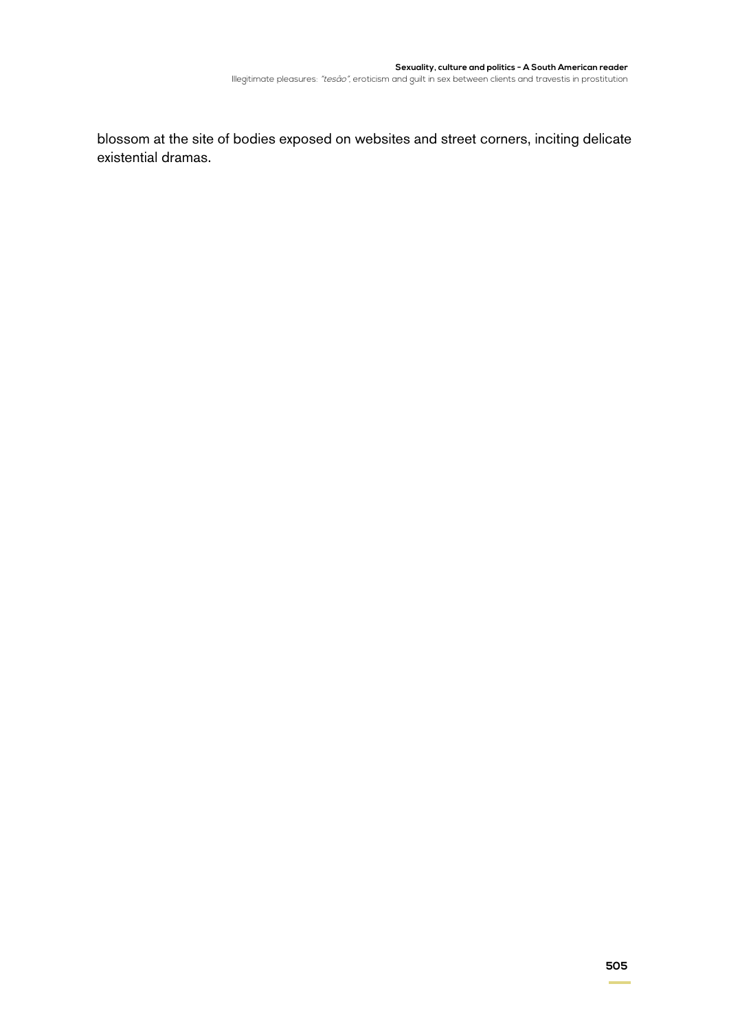blossom at the site of bodies exposed on websites and street corners, inciting delicate existential dramas.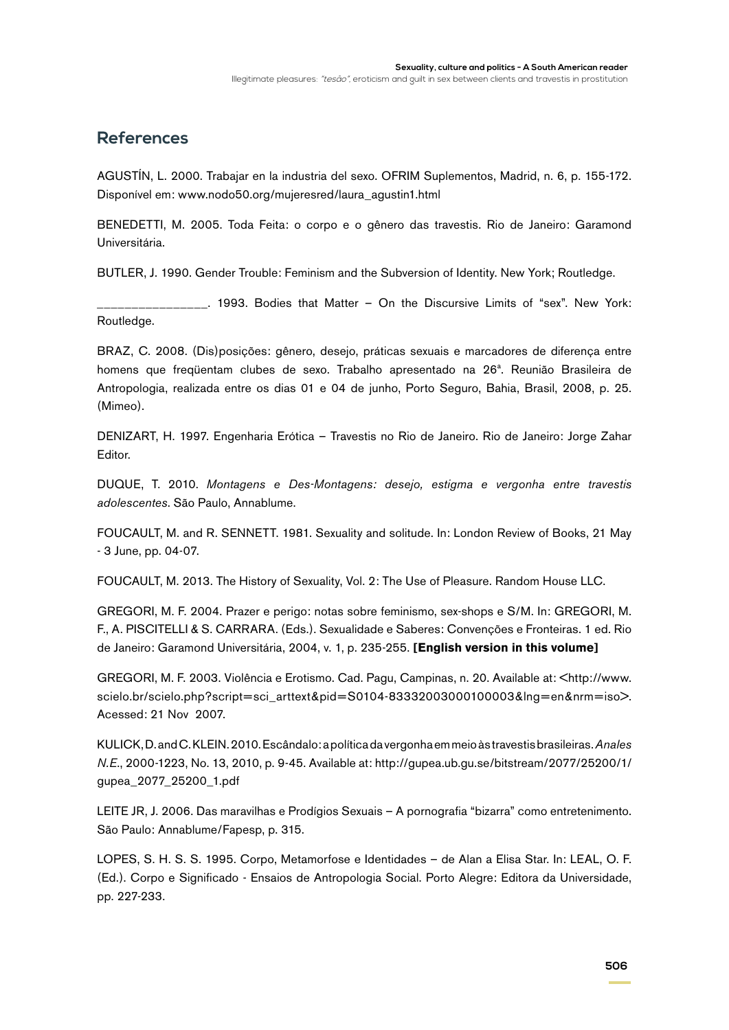#### **References**

AGUSTÍN, L. 2000. Trabajar en la industria del sexo. OFRIM Suplementos, Madrid, n. 6, p. 155-172. Disponível em: www.nodo50.org/mujeresred/laura\_agustin1.html

BENEDETTI, M. 2005. Toda Feita: o corpo e o gênero das travestis. Rio de Janeiro: Garamond Universitária.

BUTLER, J. 1990. Gender Trouble: Feminism and the Subversion of Identity. New York; Routledge.

\_\_. 1993. Bodies that Matter – On the Discursive Limits of "sex". New York: Routledge.

BRAZ, C. 2008. (Dis)posições: gênero, desejo, práticas sexuais e marcadores de diferença entre homens que freqüentam clubes de sexo. Trabalho apresentado na 26ª. Reunião Brasileira de Antropologia, realizada entre os dias 01 e 04 de junho, Porto Seguro, Bahia, Brasil, 2008, p. 25. (Mimeo).

DENIZART, H. 1997. Engenharia Erótica – Travestis no Rio de Janeiro. Rio de Janeiro: Jorge Zahar Editor.

DUQUE, T. 2010. *Montagens e Des-Montagens: desejo, estigma e vergonha entre travestis adolescentes*. São Paulo, Annablume.

FOUCAULT, M. and R. SENNETT. 1981. Sexuality and solitude. In: London Review of Books, 21 May - 3 June, pp. 04-07.

FOUCAULT, M. 2013. The History of Sexuality, Vol. 2: The Use of Pleasure. Random House LLC.

GREGORI, M. F. 2004. Prazer e perigo: notas sobre feminismo, sex-shops e S/M. In: GREGORI, M. F., A. PISCITELLI & S. CARRARA. (Eds.). Sexualidade e Saberes: Convenções e Fronteiras. 1 ed. Rio de Janeiro: Garamond Universitária, 2004, v. 1, p. 235-255. **[English version in this volume]**

GREGORI, M. F. 2003. Violência e Erotismo. Cad. Pagu, Campinas, n. 20. Available at: <http://www. scielo.br/scielo.php?script=sci\_arttext&pid=S0104-83332003000100003&lng=en&nrm=iso>. Acessed: 21 Nov 2007.

KULICK, D. and C. KLEIN. 2010. Escândalo: a política da vergonha em meio às travestis brasileiras. *Anales N.E*., 2000-1223, No. 13, 2010, p. 9-45. Available at: http://gupea.ub.gu.se/bitstream/2077/25200/1/ gupea\_2077\_25200\_1.pdf

LEITE JR, J. 2006. Das maravilhas e Prodígios Sexuais – A pornografia "bizarra" como entretenimento. São Paulo: Annablume/Fapesp, p. 315.

LOPES, S. H. S. S. 1995. Corpo, Metamorfose e Identidades – de Alan a Elisa Star. In: LEAL, O. F. (Ed.). Corpo e Significado - Ensaios de Antropologia Social. Porto Alegre: Editora da Universidade, pp. 227-233.